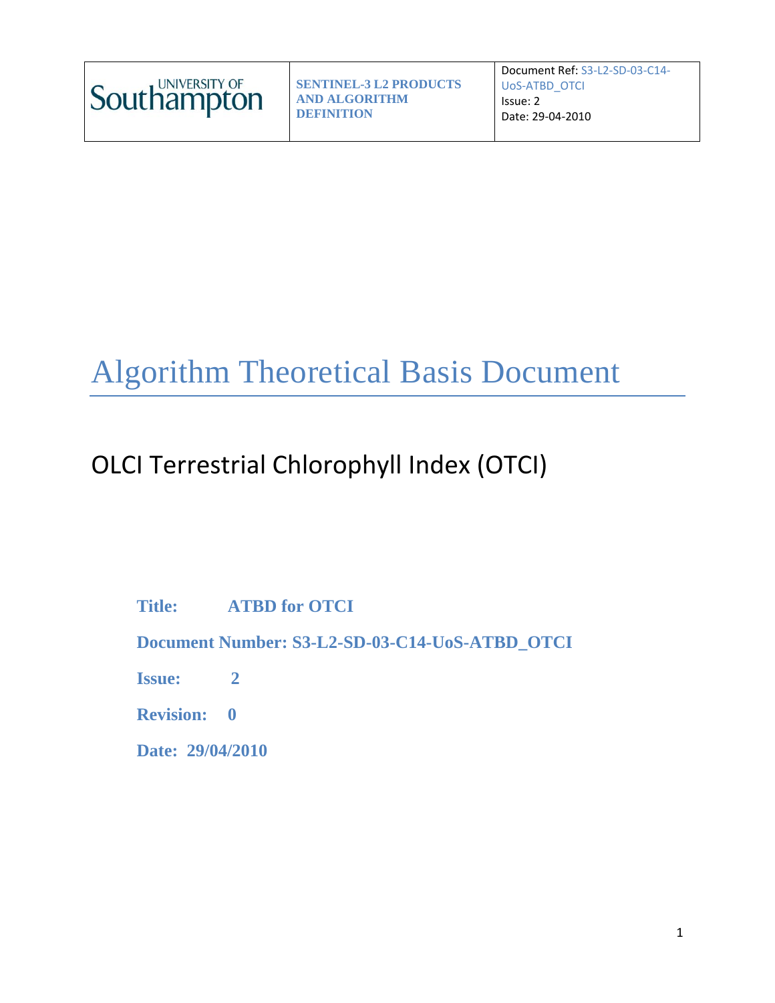

Document Ref: S3-L2-SD-03-C14- UoS-ATBD\_OTCI Issue: 2 Date: 29-04-2010

# Algorithm Theoretical Basis Document

# OLCI Terrestrial Chlorophyll Index (OTCI)

**Title: ATBD for OTCI**

**Document Number: S3-L2-SD-03-C14-UoS-ATBD\_OTCI**

**Issue: 2**

**Revision: 0**

**Date: 29/04/2010**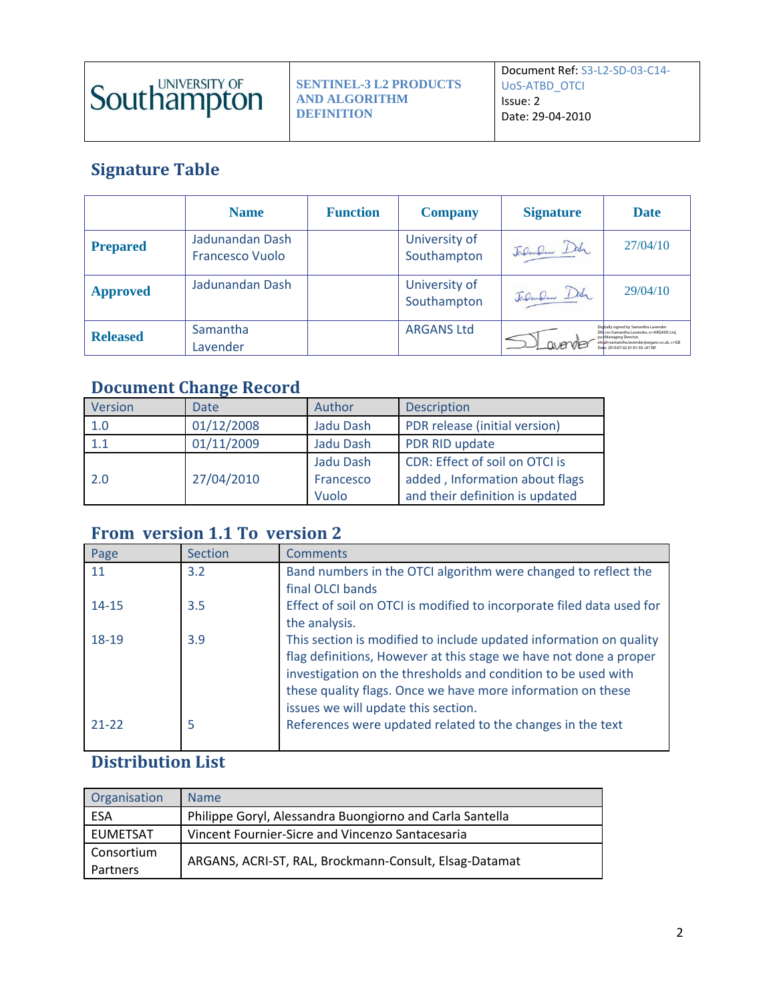

**SENTINEL-3 L2 PRODUCTS AND ALGORITHM DEFINITION**

# **Signature Table**

|                 | <b>Name</b>                               | <b>Function</b> | <b>Company</b>               | <b>Signature</b> | <b>Date</b>                                                                                                                                                                              |
|-----------------|-------------------------------------------|-----------------|------------------------------|------------------|------------------------------------------------------------------------------------------------------------------------------------------------------------------------------------------|
| <b>Prepared</b> | Jadunandan Dash<br><b>Francesco Vuolo</b> |                 | University of<br>Southampton | Jalman Dah       | 27/04/10                                                                                                                                                                                 |
| <b>Approved</b> | Jadunandan Dash                           |                 | University of<br>Southampton | Jalman Dah       | 29/04/10                                                                                                                                                                                 |
| <b>Released</b> | Samantha<br>Lavender                      |                 | <b>ARGANS Ltd</b>            |                  | Diditally signed by Samantha Lavender<br>cn=Samantha Lavender, o=ARGANS Ltd.<br>ou+Managing Director,<br>email=samantha.lavender@argans.co.uk, c=GB<br>Date: 2010/07/02 01:01:50 +01:00" |

# **Document Change Record**

| Version | <b>Date</b> | Author    | <b>Description</b>              |
|---------|-------------|-----------|---------------------------------|
| 1.0     | 01/12/2008  | Jadu Dash | PDR release (initial version)   |
| 1.1     | 01/11/2009  | Jadu Dash | PDR RID update                  |
|         |             | Jadu Dash | CDR: Effect of soil on OTCI is  |
| 2.0     | 27/04/2010  | Francesco | added, Information about flags  |
|         |             | Vuolo     | and their definition is updated |

# **From version 1.1 To version 2**

| Page      | Section | <b>Comments</b>                                                                                                                                                                                                                                                                                                |
|-----------|---------|----------------------------------------------------------------------------------------------------------------------------------------------------------------------------------------------------------------------------------------------------------------------------------------------------------------|
| 11        | 3.2     | Band numbers in the OTCI algorithm were changed to reflect the<br>final OLCI bands                                                                                                                                                                                                                             |
| $14 - 15$ | 3.5     | Effect of soil on OTCI is modified to incorporate filed data used for<br>the analysis.                                                                                                                                                                                                                         |
| 18-19     | 3.9     | This section is modified to include updated information on quality<br>flag definitions, However at this stage we have not done a proper<br>investigation on the thresholds and condition to be used with<br>these quality flags. Once we have more information on these<br>issues we will update this section. |
| $21 - 22$ | 5       | References were updated related to the changes in the text                                                                                                                                                                                                                                                     |

# **Distribution List**

| Organisation           | <b>Name</b>                                              |
|------------------------|----------------------------------------------------------|
| ESA                    | Philippe Goryl, Alessandra Buongiorno and Carla Santella |
| <b>EUMETSAT</b>        | Vincent Fournier-Sicre and Vincenzo Santacesaria         |
| Consortium<br>Partners | ARGANS, ACRI-ST, RAL, Brockmann-Consult, Elsag-Datamat   |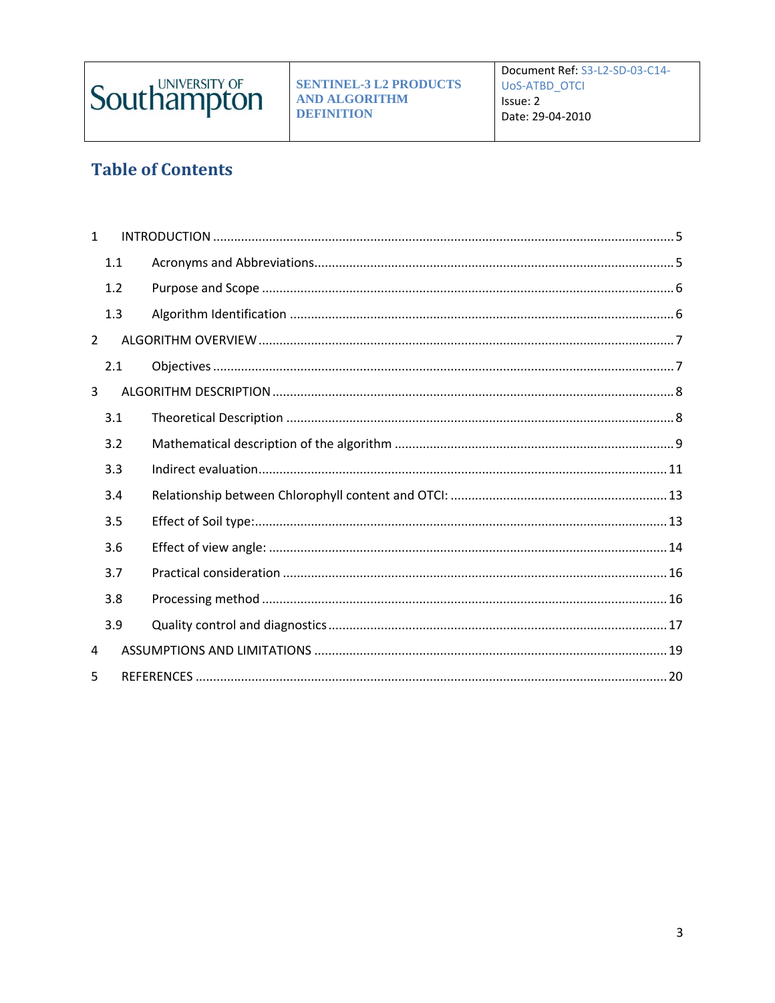

# **Table of Contents**

| $\mathbf{1}$   |     |  |
|----------------|-----|--|
|                | 1.1 |  |
|                | 1.2 |  |
|                | 1.3 |  |
| $\overline{2}$ |     |  |
|                | 2.1 |  |
| 3              |     |  |
|                | 3.1 |  |
|                | 3.2 |  |
|                | 3.3 |  |
|                | 3.4 |  |
|                | 3.5 |  |
|                | 3.6 |  |
|                | 3.7 |  |
|                | 3.8 |  |
|                | 3.9 |  |
| 4              |     |  |
| 5              |     |  |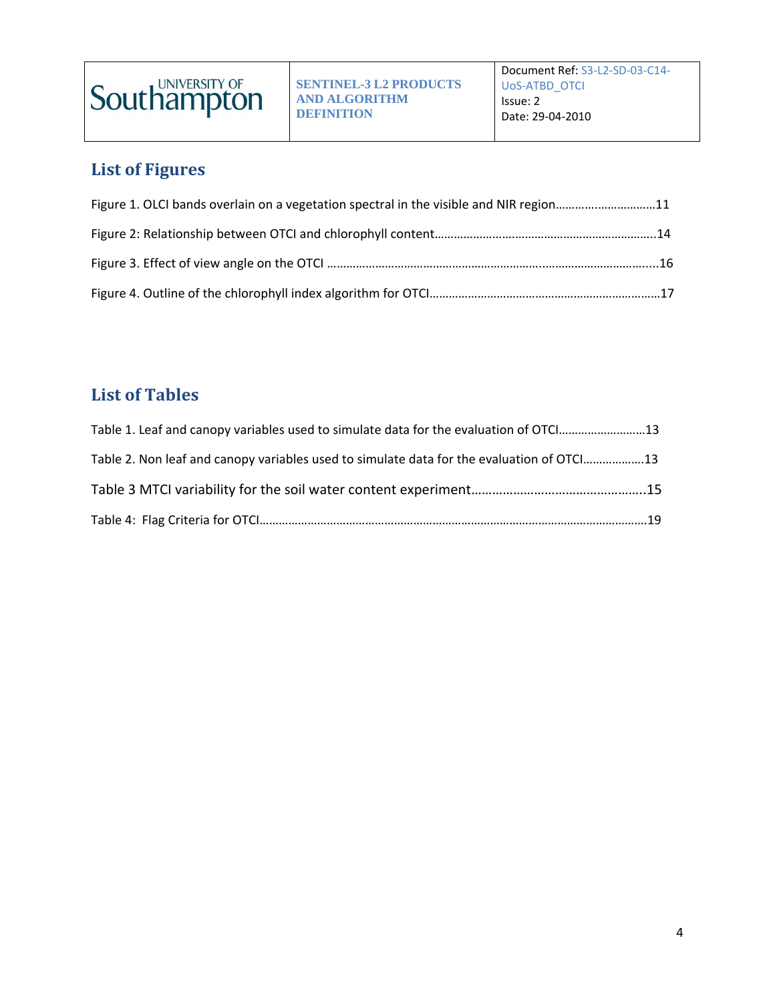

# **List of Figures**

| Figure 1. OLCI bands overlain on a vegetation spectral in the visible and NIR region11 |  |
|----------------------------------------------------------------------------------------|--|
|                                                                                        |  |
|                                                                                        |  |
|                                                                                        |  |

# **List of Tables**

| Table 1. Leaf and canopy variables used to simulate data for the evaluation of OTC [13    |  |
|-------------------------------------------------------------------------------------------|--|
| Table 2. Non leaf and canopy variables used to simulate data for the evaluation of OTCI13 |  |
|                                                                                           |  |
|                                                                                           |  |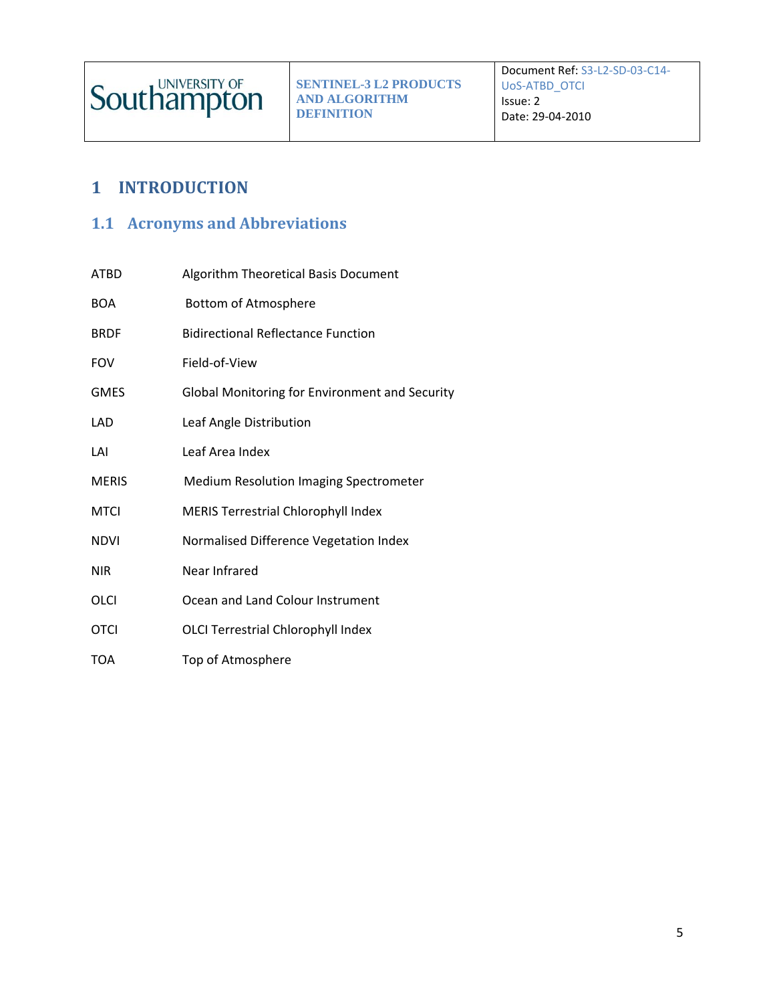# <span id="page-4-0"></span>**1 INTRODUCTION**

## <span id="page-4-1"></span>**1.1 Acronyms and Abbreviations**

| <b>ATBD</b>  | Algorithm Theoretical Basis Document           |
|--------------|------------------------------------------------|
| <b>BOA</b>   | Bottom of Atmosphere                           |
| <b>BRDF</b>  | <b>Bidirectional Reflectance Function</b>      |
| <b>FOV</b>   | Field-of-View                                  |
| <b>GMES</b>  | Global Monitoring for Environment and Security |
| LAD          | Leaf Angle Distribution                        |
| LAI          | Leaf Area Index                                |
| <b>MERIS</b> | <b>Medium Resolution Imaging Spectrometer</b>  |
| <b>MTCI</b>  | <b>MERIS Terrestrial Chlorophyll Index</b>     |
| <b>NDVI</b>  | Normalised Difference Vegetation Index         |
| <b>NIR</b>   | Near Infrared                                  |
| OLCI         | Ocean and Land Colour Instrument               |
| <b>OTCI</b>  | OLCI Terrestrial Chlorophyll Index             |
| TOA          | Top of Atmosphere                              |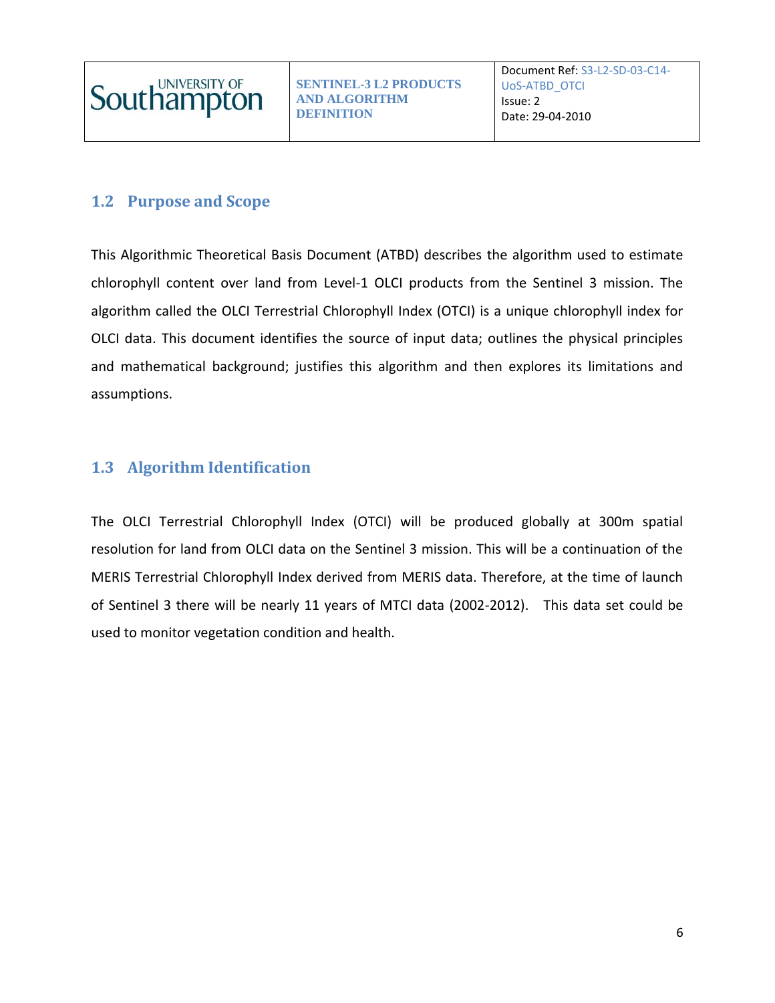

## <span id="page-5-0"></span>**1.2 Purpose and Scope**

This Algorithmic Theoretical Basis Document (ATBD) describes the algorithm used to estimate chlorophyll content over land from Level-1 OLCI products from the Sentinel 3 mission. The algorithm called the OLCI Terrestrial Chlorophyll Index (OTCI) is a unique chlorophyll index for OLCI data. This document identifies the source of input data; outlines the physical principles and mathematical background; justifies this algorithm and then explores its limitations and assumptions.

### <span id="page-5-1"></span>**1.3 Algorithm Identification**

The OLCI Terrestrial Chlorophyll Index (OTCI) will be produced globally at 300m spatial resolution for land from OLCI data on the Sentinel 3 mission. This will be a continuation of the MERIS Terrestrial Chlorophyll Index derived from MERIS data. Therefore, at the time of launch of Sentinel 3 there will be nearly 11 years of MTCI data (2002-2012). This data set could be used to monitor vegetation condition and health.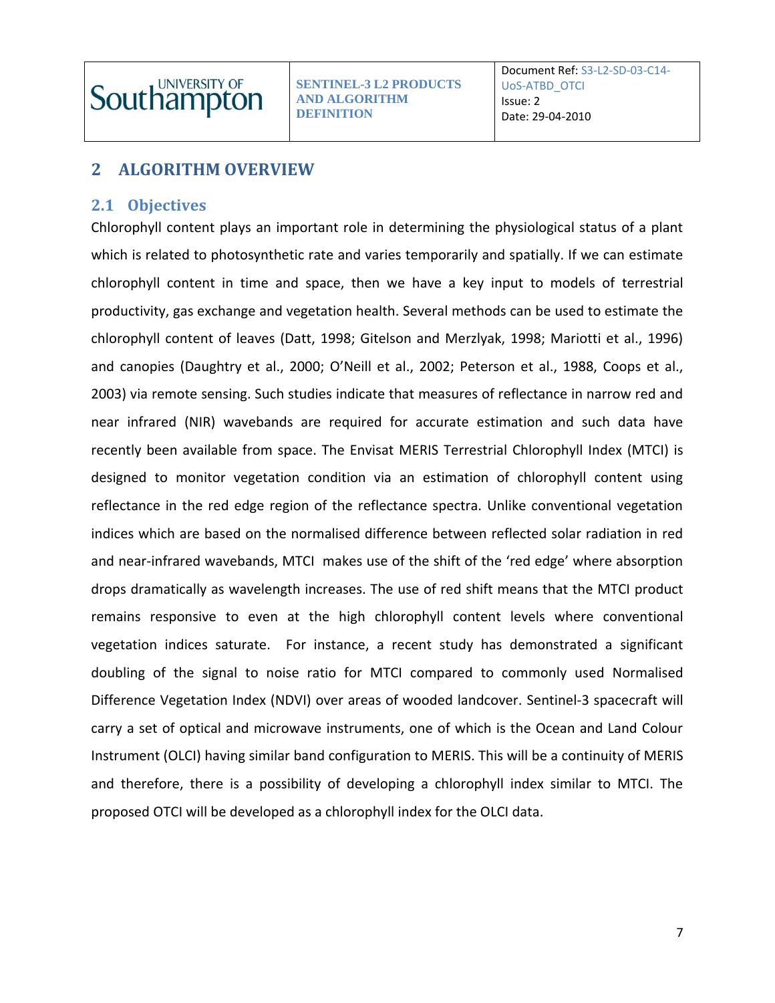# <span id="page-6-0"></span>**2 ALGORITHM OVERVIEW**

#### <span id="page-6-1"></span>**2.1 Objectives**

Chlorophyll content plays an important role in determining the physiological status of a plant which is related to photosynthetic rate and varies temporarily and spatially. If we can estimate chlorophyll content in time and space, then we have a key input to models of terrestrial productivity, gas exchange and vegetation health. Several methods can be used to estimate the chlorophyll content of leaves (Datt, 1998; Gitelson and Merzlyak, 1998; Mariotti et al., 1996) and canopies (Daughtry et al., 2000; O'Neill et al., 2002; Peterson et al., 1988, Coops et al., 2003) via remote sensing. Such studies indicate that measures of reflectance in narrow red and near infrared (NIR) wavebands are required for accurate estimation and such data have recently been available from space. The Envisat MERIS Terrestrial Chlorophyll Index (MTCI) is designed to monitor vegetation condition via an estimation of chlorophyll content using reflectance in the red edge region of the reflectance spectra. Unlike conventional vegetation indices which are based on the normalised difference between reflected solar radiation in red and near-infrared wavebands, MTCI makes use of the shift of the 'red edge' where absorption drops dramatically as wavelength increases. The use of red shift means that the MTCI product remains responsive to even at the high chlorophyll content levels where conventional vegetation indices saturate. For instance, a recent study has demonstrated a significant doubling of the signal to noise ratio for MTCI compared to commonly used Normalised Difference Vegetation Index (NDVI) over areas of wooded landcover. Sentinel-3 spacecraft will carry a set of optical and microwave instruments, one of which is the Ocean and Land Colour Instrument (OLCI) having similar band configuration to MERIS. This will be a continuity of MERIS and therefore, there is a possibility of developing a chlorophyll index similar to MTCI. The proposed OTCI will be developed as a chlorophyll index for the OLCI data.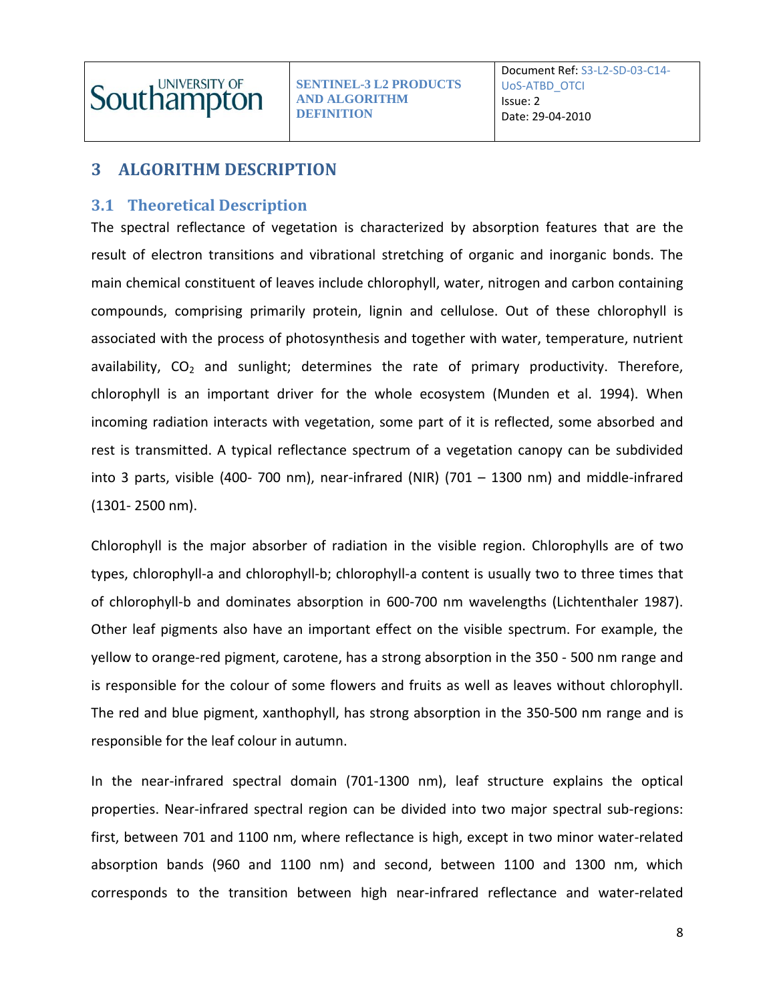

# <span id="page-7-0"></span>**3 ALGORITHM DESCRIPTION**

#### <span id="page-7-1"></span>**3.1 Theoretical Description**

The spectral reflectance of vegetation is characterized by absorption features that are the result of electron transitions and vibrational stretching of organic and inorganic bonds. The main chemical constituent of leaves include chlorophyll, water, nitrogen and carbon containing compounds, comprising primarily protein, lignin and cellulose. Out of these chlorophyll is associated with the process of photosynthesis and together with water, temperature, nutrient availability,  $CO<sub>2</sub>$  and sunlight; determines the rate of primary productivity. Therefore, chlorophyll is an important driver for the whole ecosystem (Munden et al. 1994). When incoming radiation interacts with vegetation, some part of it is reflected, some absorbed and rest is transmitted. A typical reflectance spectrum of a vegetation canopy can be subdivided into 3 parts, visible (400- 700 nm), near-infrared (NIR) (701 – 1300 nm) and middle-infrared (1301- 2500 nm).

Chlorophyll is the major absorber of radiation in the visible region. Chlorophylls are of two types, chlorophyll-a and chlorophyll-b; chlorophyll-a content is usually two to three times that of chlorophyll-b and dominates absorption in 600-700 nm wavelengths (Lichtenthaler 1987). Other leaf pigments also have an important effect on the visible spectrum. For example, the yellow to orange-red pigment, carotene, has a strong absorption in the 350 - 500 nm range and is responsible for the colour of some flowers and fruits as well as leaves without chlorophyll. The red and blue pigment, xanthophyll, has strong absorption in the 350-500 nm range and is responsible for the leaf colour in autumn.

In the near-infrared spectral domain (701-1300 nm), leaf structure explains the optical properties. Near-infrared spectral region can be divided into two major spectral sub-regions: first, between 701 and 1100 nm, where reflectance is high, except in two minor water-related absorption bands (960 and 1100 nm) and second, between 1100 and 1300 nm, which corresponds to the transition between high near-infrared reflectance and water-related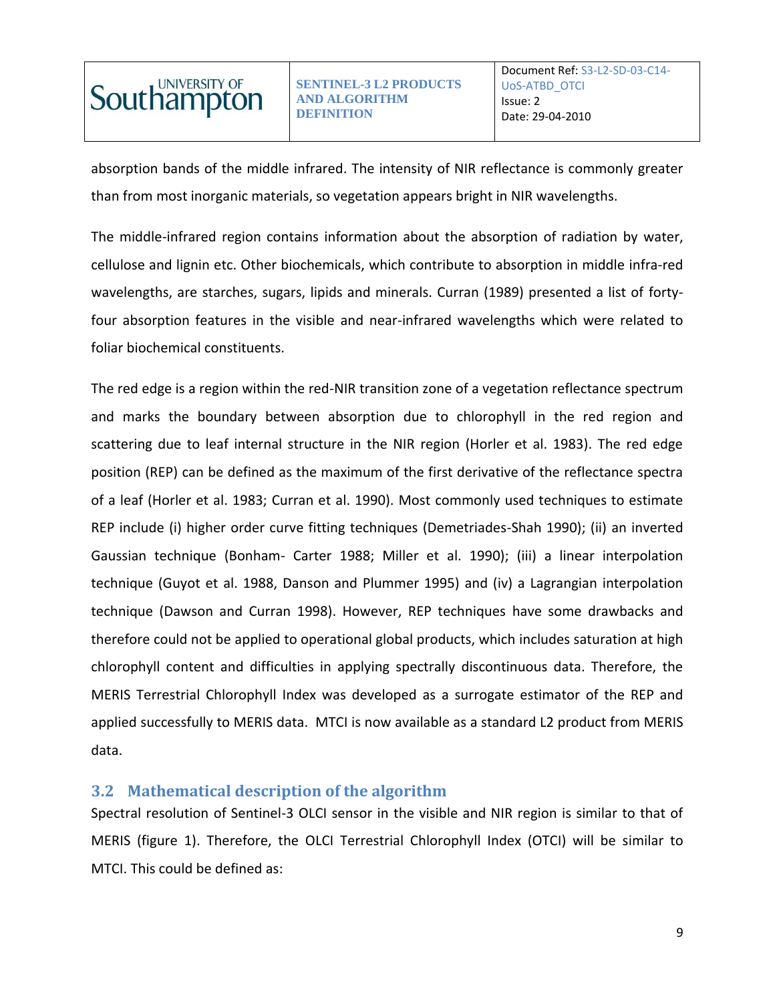

absorption bands of the middle infrared. The intensity of NIR reflectance is commonly greater than from most inorganic materials, so vegetation appears bright in NIR wavelengths.

The middle-infrared region contains information about the absorption of radiation by water, cellulose and lignin etc. Other biochemicals, which contribute to absorption in middle infra-red wavelengths, are starches, sugars, lipids and minerals. Curran (1989) presented a list of fortyfour absorption features in the visible and near-infrared wavelengths which were related to foliar biochemical constituents.

The red edge is a region within the red-NIR transition zone of a vegetation reflectance spectrum and marks the boundary between absorption due to chlorophyll in the red region and scattering due to leaf internal structure in the NIR region (Horler et al. 1983). The red edge position (REP) can be defined as the maximum of the first derivative of the reflectance spectra of a leaf (Horler et al. 1983; Curran et al. 1990). Most commonly used techniques to estimate REP include (i) higher order curve fitting techniques (Demetriades-Shah 1990); (ii) an inverted Gaussian technique (Bonham- Carter 1988; Miller et al. 1990); (iii) a linear interpolation technique (Guyot et al. 1988, Danson and Plummer 1995) and (iv) a Lagrangian interpolation technique (Dawson and Curran 1998). However, REP techniques have some drawbacks and therefore could not be applied to operational global products, which includes saturation at high chlorophyll content and difficulties in applying spectrally discontinuous data. Therefore, the MERIS Terrestrial Chlorophyll Index was developed as a surrogate estimator of the REP and applied successfully to MERIS data. MTCI is now available as a standard L2 product from MERIS data.

#### <span id="page-8-0"></span>**3.2 Mathematical description of the algorithm**

Spectral resolution of Sentinel-3 OLCI sensor in the visible and NIR region is similar to that of MERIS (figure 1). Therefore, the OLCI Terrestrial Chlorophyll Index (OTCI) will be similar to MTCI. This could be defined as: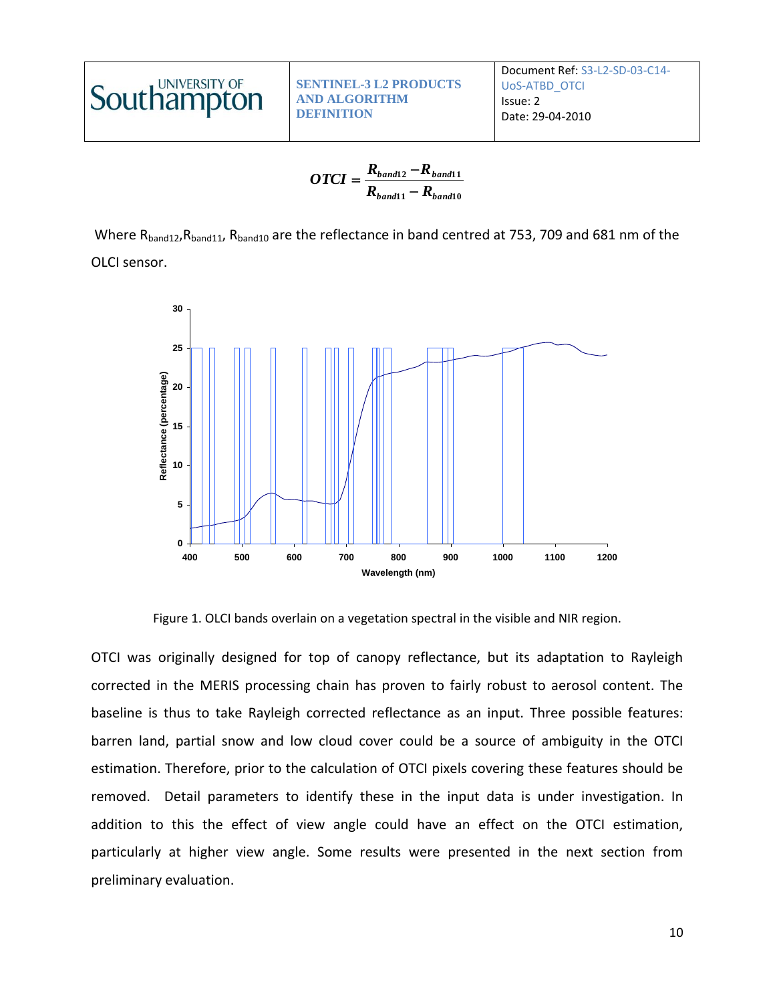

$$
OTCI = \frac{R_{band12} - R_{band11}}{R_{band11} - R_{band10}}
$$

Where R<sub>band12</sub>, R<sub>band11</sub>, R<sub>band10</sub> are the reflectance in band centred at 753, 709 and 681 nm of the OLCI sensor.



Figure 1. OLCI bands overlain on a vegetation spectral in the visible and NIR region.

OTCI was originally designed for top of canopy reflectance, but its adaptation to Rayleigh corrected in the MERIS processing chain has proven to fairly robust to aerosol content. The baseline is thus to take Rayleigh corrected reflectance as an input. Three possible features: barren land, partial snow and low cloud cover could be a source of ambiguity in the OTCI estimation. Therefore, prior to the calculation of OTCI pixels covering these features should be removed. Detail parameters to identify these in the input data is under investigation. In addition to this the effect of view angle could have an effect on the OTCI estimation, particularly at higher view angle. Some results were presented in the next section from preliminary evaluation.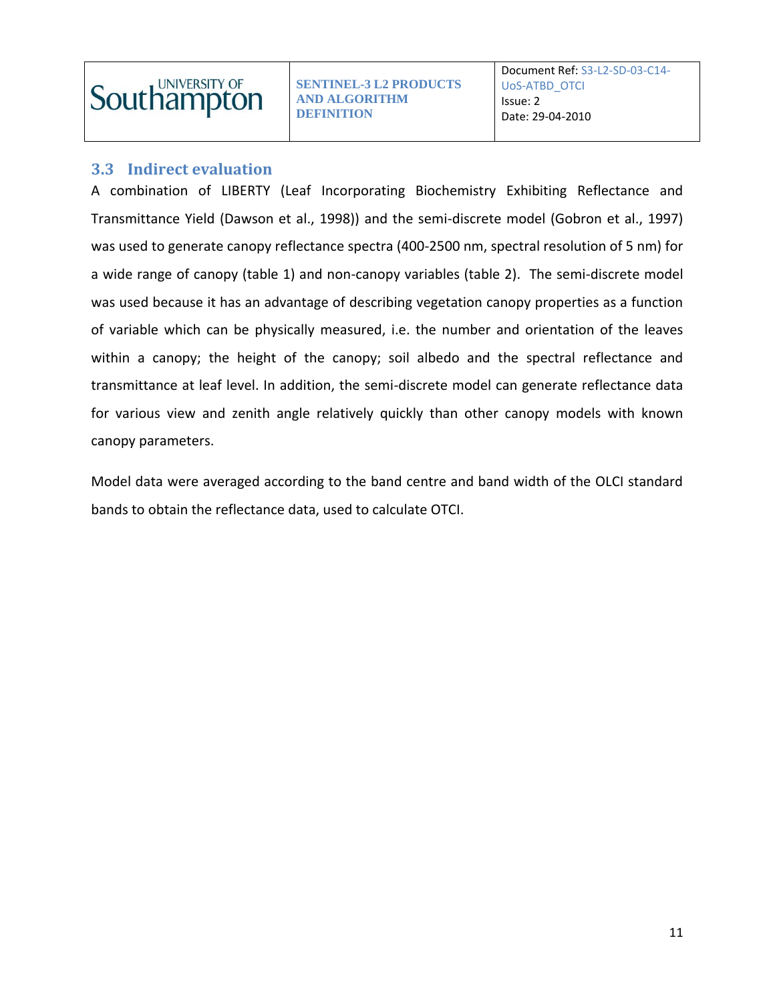

#### <span id="page-10-0"></span>**3.3 Indirect evaluation**

A combination of LIBERTY (Leaf Incorporating Biochemistry Exhibiting Reflectance and Transmittance Yield (Dawson et al., 1998)) and the semi-discrete model (Gobron et al., 1997) was used to generate canopy reflectance spectra (400-2500 nm, spectral resolution of 5 nm) for a wide range of canopy (table 1) and non-canopy variables (table 2). The semi-discrete model was used because it has an advantage of describing vegetation canopy properties as a function of variable which can be physically measured, i.e. the number and orientation of the leaves within a canopy; the height of the canopy; soil albedo and the spectral reflectance and transmittance at leaf level. In addition, the semi-discrete model can generate reflectance data for various view and zenith angle relatively quickly than other canopy models with known canopy parameters.

Model data were averaged according to the band centre and band width of the OLCI standard bands to obtain the reflectance data, used to calculate OTCI.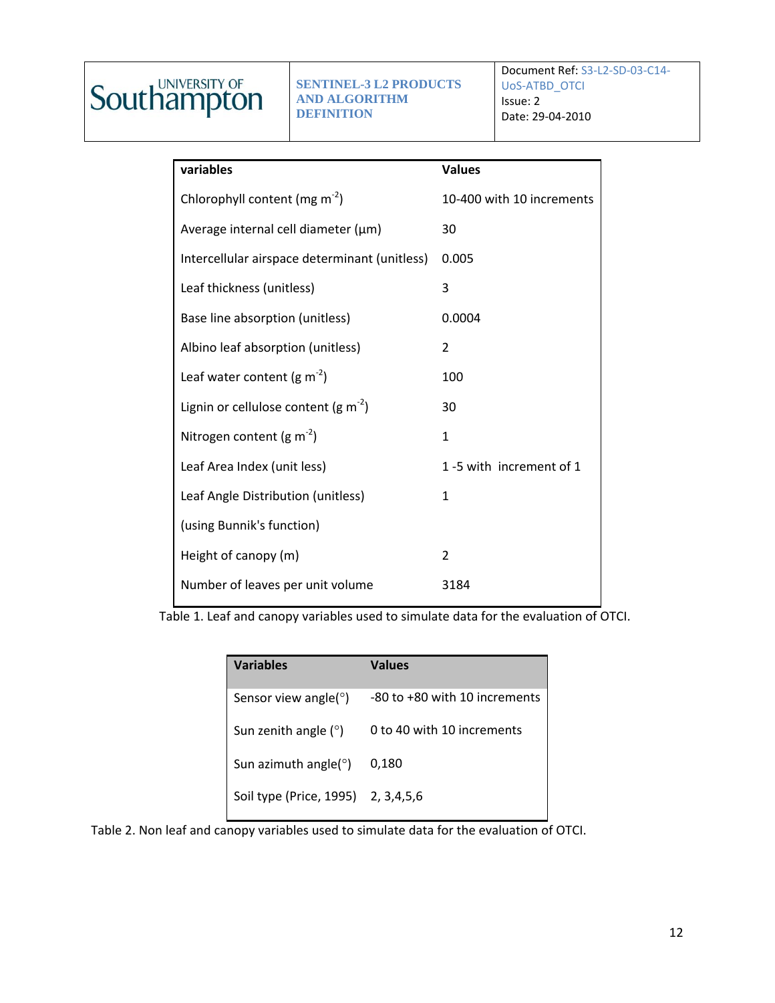# **Southampton**

**SENTINEL-3 L2 PRODUCTS AND ALGORITHM DEFINITION**

Document Ref: S3-L2-SD-03-C14- UoS-ATBD\_OTCI Issue: 2 Date: 29-04-2010

| variables                                     | <b>Values</b>             |
|-----------------------------------------------|---------------------------|
| Chlorophyll content (mg $m-2$ )               | 10-400 with 10 increments |
| Average internal cell diameter (µm)           | 30                        |
| Intercellular airspace determinant (unitless) | 0.005                     |
| Leaf thickness (unitless)                     | 3                         |
| Base line absorption (unitless)               | 0.0004                    |
| Albino leaf absorption (unitless)             | 2                         |
| Leaf water content (g $m^{-2}$ )              | 100                       |
| Lignin or cellulose content (g $m^{-2}$ )     | 30                        |
| Nitrogen content (g $m^{-2}$ )                | $\mathbf{1}$              |
| Leaf Area Index (unit less)                   | 1-5 with increment of 1   |
| Leaf Angle Distribution (unitless)            | $\mathbf{1}$              |
| (using Bunnik's function)                     |                           |
| Height of canopy (m)                          | $\overline{2}$            |
| Number of leaves per unit volume              | 3184                      |

Table 1. Leaf and canopy variables used to simulate data for the evaluation of OTCI.

| <b>Variables</b>                   | <b>Values</b>                 |
|------------------------------------|-------------------------------|
| Sensor view angle( <sup>o</sup> )  | -80 to +80 with 10 increments |
| Sun zenith angle $(°)$             | 0 to 40 with 10 increments    |
| Sun azimuth angle( $\degree$ )     | 0,180                         |
| Soil type (Price, 1995) 2, 3,4,5,6 |                               |

Table 2. Non leaf and canopy variables used to simulate data for the evaluation of OTCI.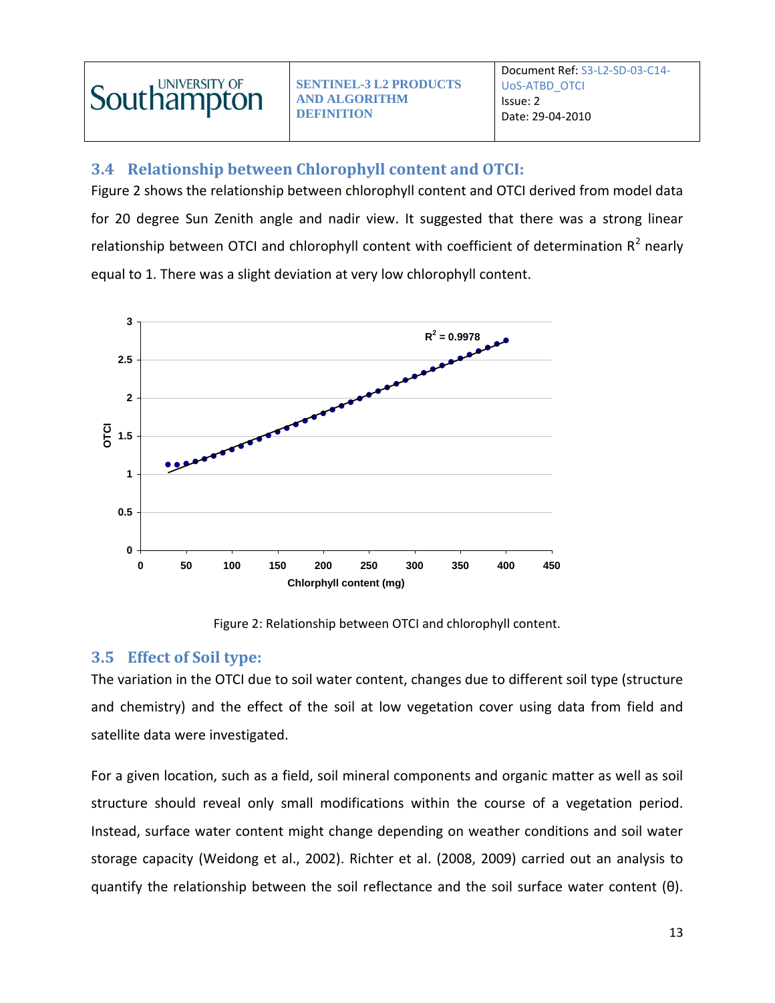

### <span id="page-12-0"></span>**3.4 Relationship between Chlorophyll content and OTCI:**

Figure 2 shows the relationship between chlorophyll content and OTCI derived from model data for 20 degree Sun Zenith angle and nadir view. It suggested that there was a strong linear relationship between OTCI and chlorophyll content with coefficient of determination  $R^2$  nearly equal to 1. There was a slight deviation at very low chlorophyll content.



Figure 2: Relationship between OTCI and chlorophyll content.

#### <span id="page-12-1"></span>**3.5 Effect of Soil type:**

The variation in the OTCI due to soil water content, changes due to different soil type (structure and chemistry) and the effect of the soil at low vegetation cover using data from field and satellite data were investigated.

For a given location, such as a field, soil mineral components and organic matter as well as soil structure should reveal only small modifications within the course of a vegetation period. Instead, surface water content might change depending on weather conditions and soil water storage capacity (Weidong et al., 2002). Richter et al. (2008, 2009) carried out an analysis to quantify the relationship between the soil reflectance and the soil surface water content (θ).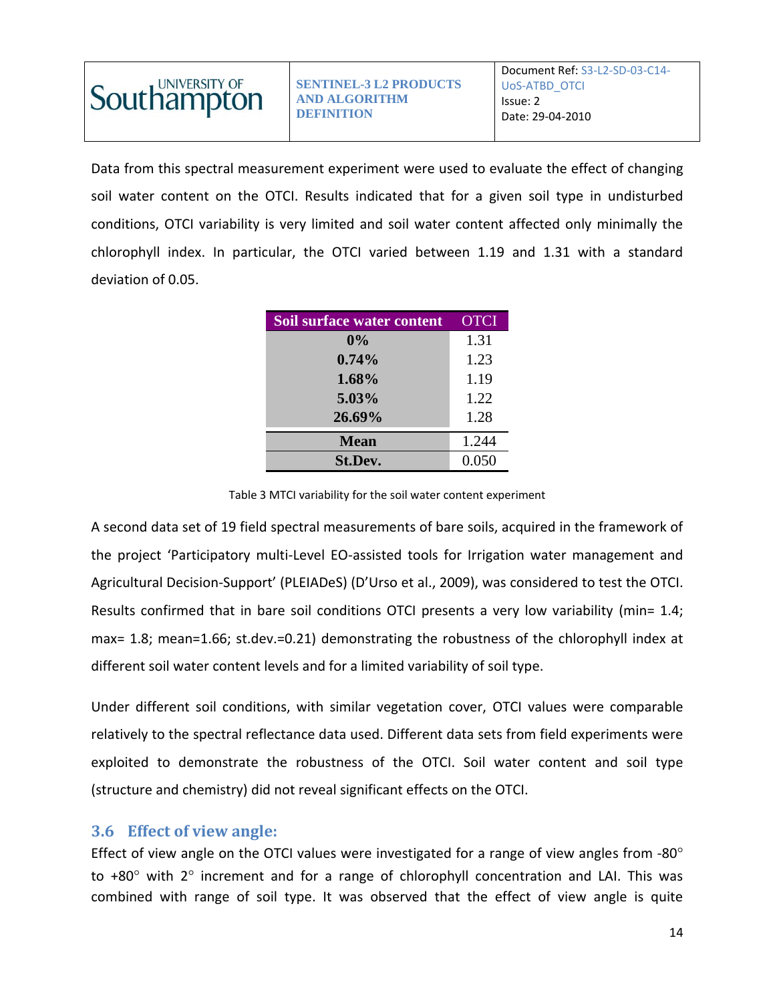

Data from this spectral measurement experiment were used to evaluate the effect of changing soil water content on the OTCI. Results indicated that for a given soil type in undisturbed conditions, OTCI variability is very limited and soil water content affected only minimally the chlorophyll index. In particular, the OTCI varied between 1.19 and 1.31 with a standard deviation of 0.05.

| Soil surface water content | <b>OTCI</b> |
|----------------------------|-------------|
| $0\%$                      | 1.31        |
| 0.74%                      | 1.23        |
| 1.68%                      | 1.19        |
| 5.03%                      | 1.22        |
| 26.69%                     | 1.28        |
| <b>Mean</b>                | 1.244       |
| St.Dev.                    | 0.050       |

Table 3 MTCI variability for the soil water content experiment

A second data set of 19 field spectral measurements of bare soils, acquired in the framework of the project 'Participatory multi-Level EO-assisted tools for Irrigation water management and Agricultural Decision-Support' (PLEIADeS) (D'Urso et al., 2009), was considered to test the OTCI. Results confirmed that in bare soil conditions OTCI presents a very low variability (min= 1.4; max= 1.8; mean=1.66; st.dev.=0.21) demonstrating the robustness of the chlorophyll index at different soil water content levels and for a limited variability of soil type.

Under different soil conditions, with similar vegetation cover, OTCI values were comparable relatively to the spectral reflectance data used. Different data sets from field experiments were exploited to demonstrate the robustness of the OTCI. Soil water content and soil type (structure and chemistry) did not reveal significant effects on the OTCI.

#### <span id="page-13-0"></span>**3.6 Effect of view angle:**

Effect of view angle on the OTCI values were investigated for a range of view angles from -80° to  $+80^\circ$  with 2 $\circ$  increment and for a range of chlorophyll concentration and LAI. This was combined with range of soil type. It was observed that the effect of view angle is quite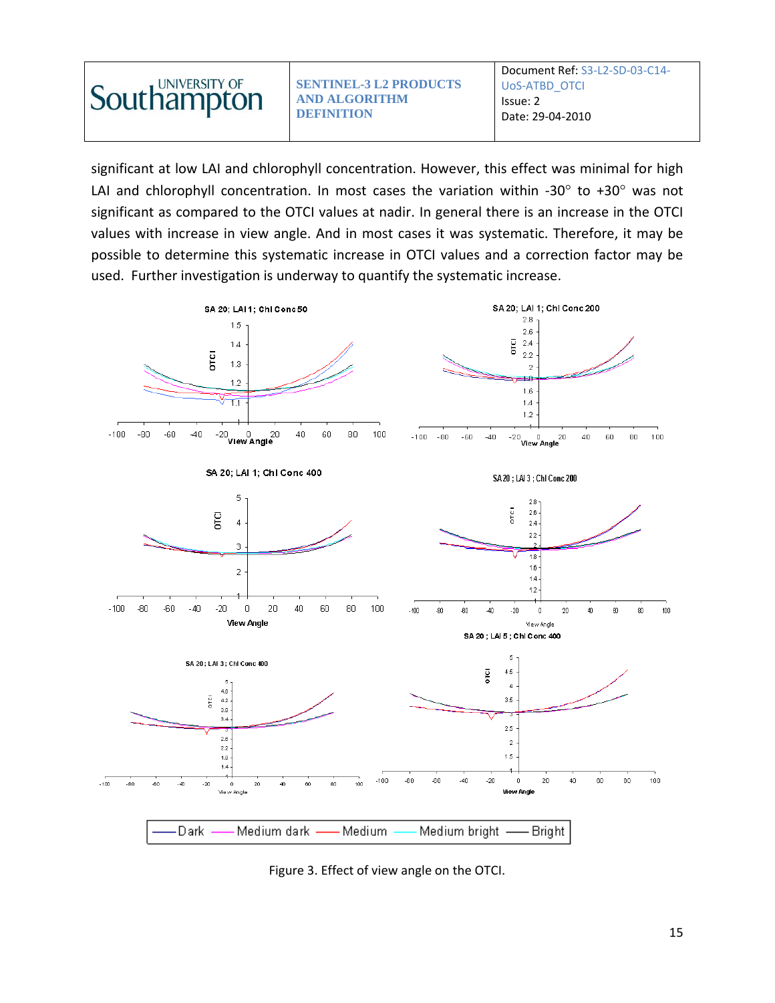

significant at low LAI and chlorophyll concentration. However, this effect was minimal for high LAI and chlorophyll concentration. In most cases the variation within -30 $^{\circ}$  to +30 $^{\circ}$  was not significant as compared to the OTCI values at nadir. In general there is an increase in the OTCI values with increase in view angle. And in most cases it was systematic. Therefore, it may be possible to determine this systematic increase in OTCI values and a correction factor may be used. Further investigation is underway to quantify the systematic increase.



Figure 3. Effect of view angle on the OTCI.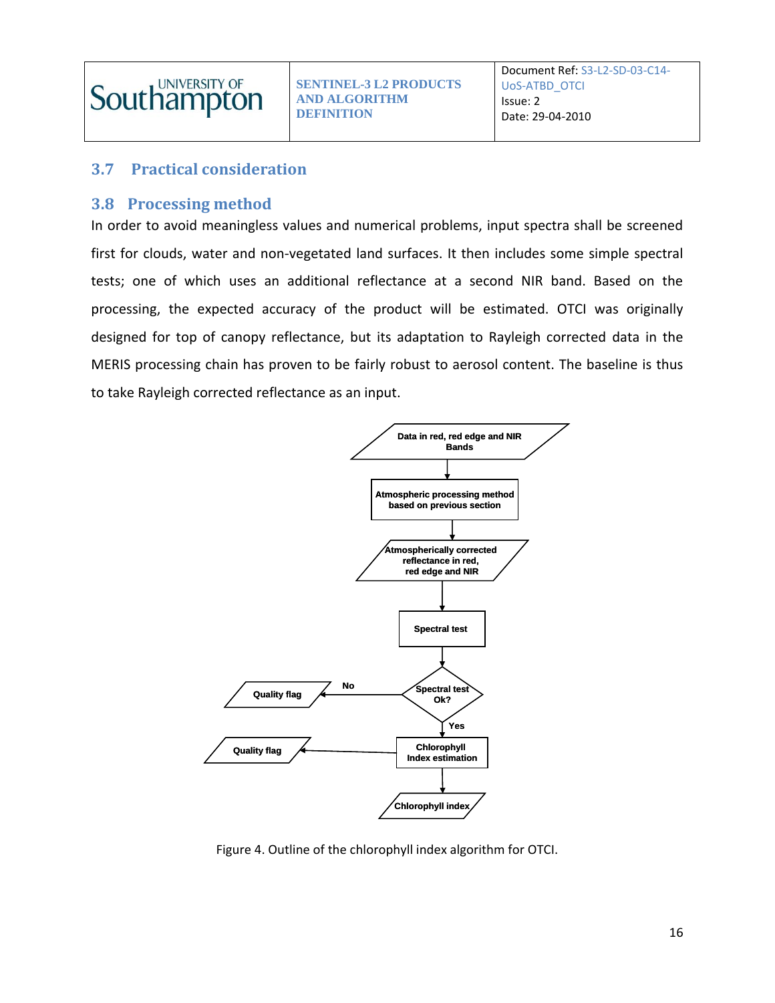

### <span id="page-15-0"></span>**3.7 Practical consideration**

#### <span id="page-15-1"></span>**3.8 Processing method**

In order to avoid meaningless values and numerical problems, input spectra shall be screened first for clouds, water and non-vegetated land surfaces. It then includes some simple spectral tests; one of which uses an additional reflectance at a second NIR band. Based on the processing, the expected accuracy of the product will be estimated. OTCI was originally designed for top of canopy reflectance, but its adaptation to Rayleigh corrected data in the MERIS processing chain has proven to be fairly robust to aerosol content. The baseline is thus to take Rayleigh corrected reflectance as an input.



Figure 4. Outline of the chlorophyll index algorithm for OTCI.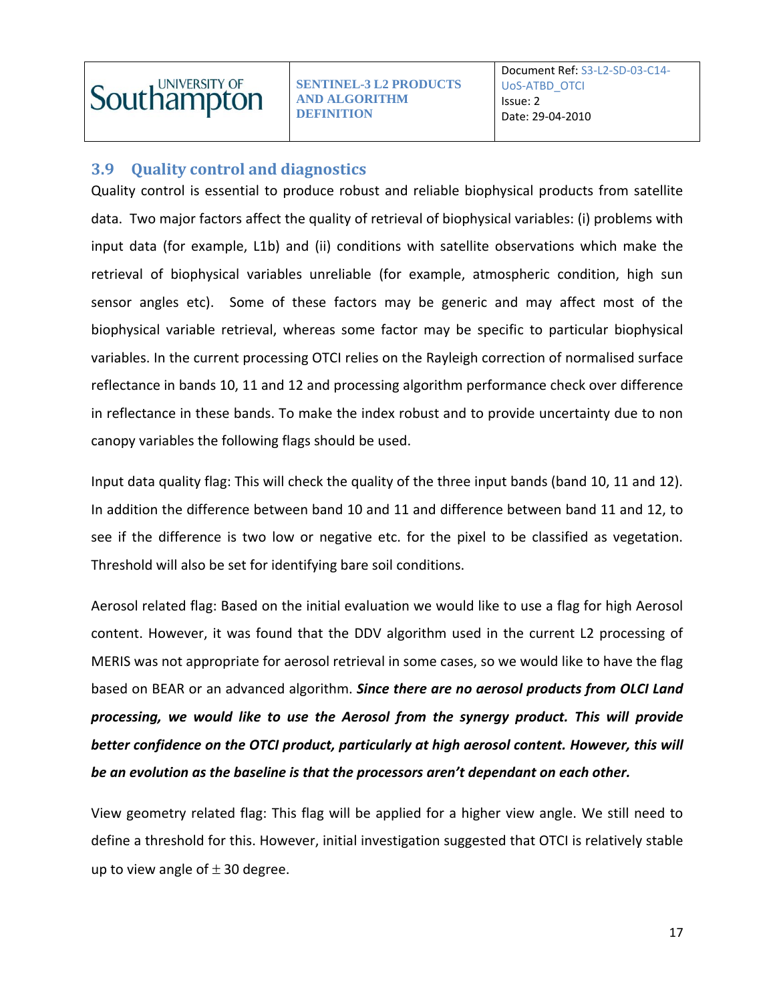

### <span id="page-16-0"></span>**3.9 Quality control and diagnostics**

Quality control is essential to produce robust and reliable biophysical products from satellite data. Two major factors affect the quality of retrieval of biophysical variables: (i) problems with input data (for example, L1b) and (ii) conditions with satellite observations which make the retrieval of biophysical variables unreliable (for example, atmospheric condition, high sun sensor angles etc). Some of these factors may be generic and may affect most of the biophysical variable retrieval, whereas some factor may be specific to particular biophysical variables. In the current processing OTCI relies on the Rayleigh correction of normalised surface reflectance in bands 10, 11 and 12 and processing algorithm performance check over difference in reflectance in these bands. To make the index robust and to provide uncertainty due to non canopy variables the following flags should be used.

Input data quality flag: This will check the quality of the three input bands (band 10, 11 and 12). In addition the difference between band 10 and 11 and difference between band 11 and 12, to see if the difference is two low or negative etc. for the pixel to be classified as vegetation. Threshold will also be set for identifying bare soil conditions.

Aerosol related flag: Based on the initial evaluation we would like to use a flag for high Aerosol content. However, it was found that the DDV algorithm used in the current L2 processing of MERIS was not appropriate for aerosol retrieval in some cases, so we would like to have the flag based on BEAR or an advanced algorithm. *Since there are no aerosol products from OLCI Land processing, we would like to use the Aerosol from the synergy product. This will provide better confidence on the OTCI product, particularly at high aerosol content. However, this will be an evolution as the baseline is that the processors aren't dependant on each other.* 

View geometry related flag: This flag will be applied for a higher view angle. We still need to define a threshold for this. However, initial investigation suggested that OTCI is relatively stable up to view angle of  $\pm$  30 degree.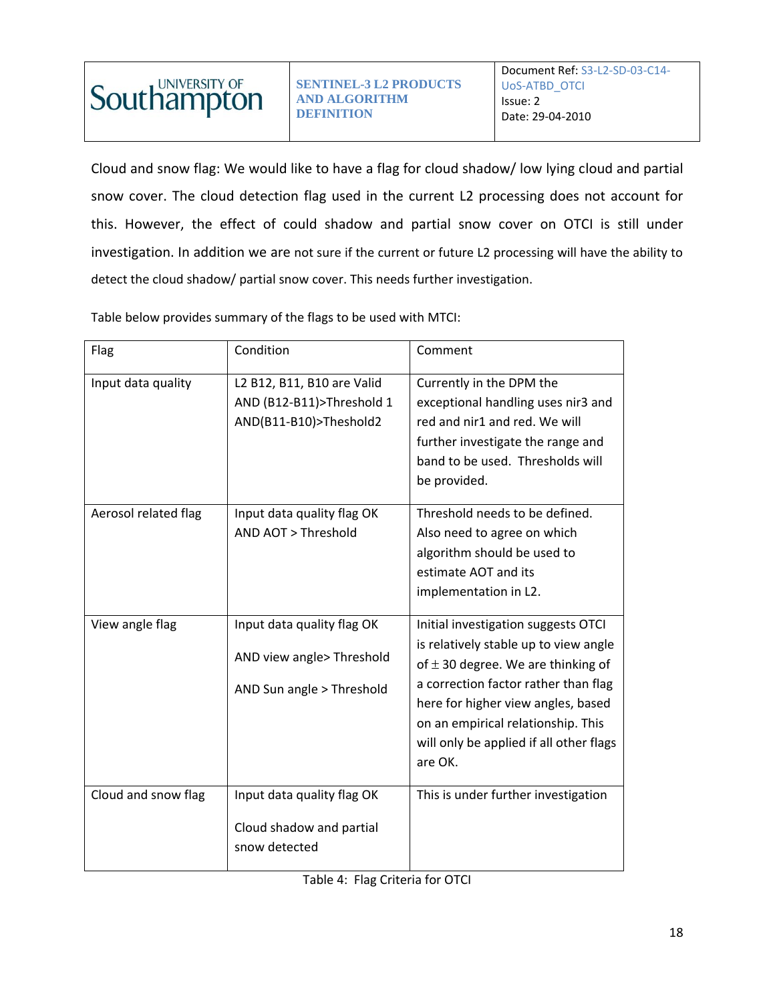

Cloud and snow flag: We would like to have a flag for cloud shadow/ low lying cloud and partial snow cover. The cloud detection flag used in the current L2 processing does not account for this. However, the effect of could shadow and partial snow cover on OTCI is still under investigation. In addition we are not sure if the current or future L2 processing will have the ability to detect the cloud shadow/ partial snow cover. This needs further investigation.

Table below provides summary of the flags to be used with MTCI:

| Flag                 | Condition                                                                            | Comment                                                                                                                                                                                                                                                                                          |
|----------------------|--------------------------------------------------------------------------------------|--------------------------------------------------------------------------------------------------------------------------------------------------------------------------------------------------------------------------------------------------------------------------------------------------|
| Input data quality   | L2 B12, B11, B10 are Valid<br>AND (B12-B11)>Threshold 1<br>AND(B11-B10)>Theshold2    | Currently in the DPM the<br>exceptional handling uses nir3 and<br>red and nir1 and red. We will<br>further investigate the range and<br>band to be used. Thresholds will<br>be provided.                                                                                                         |
| Aerosol related flag | Input data quality flag OK<br>AND AOT > Threshold                                    | Threshold needs to be defined.<br>Also need to agree on which<br>algorithm should be used to<br>estimate AOT and its<br>implementation in L2.                                                                                                                                                    |
| View angle flag      | Input data quality flag OK<br>AND view angle> Threshold<br>AND Sun angle > Threshold | Initial investigation suggests OTCI<br>is relatively stable up to view angle<br>of $\pm$ 30 degree. We are thinking of<br>a correction factor rather than flag<br>here for higher view angles, based<br>on an empirical relationship. This<br>will only be applied if all other flags<br>are OK. |
| Cloud and snow flag  | Input data quality flag OK<br>Cloud shadow and partial<br>snow detected              | This is under further investigation                                                                                                                                                                                                                                                              |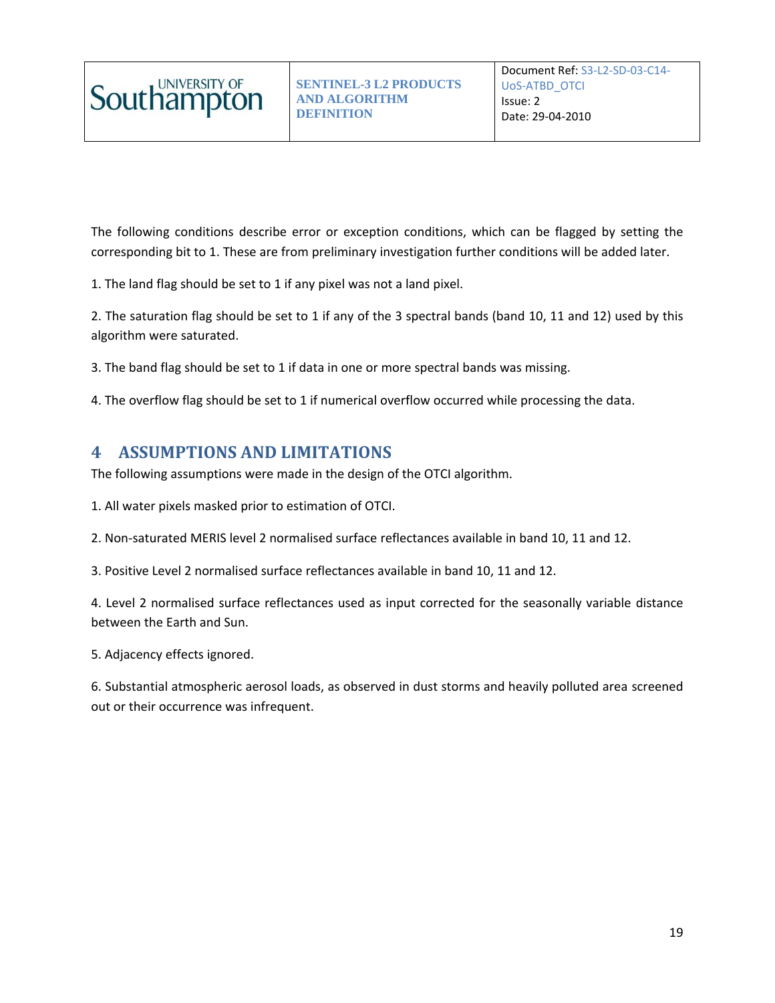

The following conditions describe error or exception conditions, which can be flagged by setting the corresponding bit to 1. These are from preliminary investigation further conditions will be added later.

1. The land flag should be set to 1 if any pixel was not a land pixel.

2. The saturation flag should be set to 1 if any of the 3 spectral bands (band 10, 11 and 12) used by this algorithm were saturated.

3. The band flag should be set to 1 if data in one or more spectral bands was missing.

4. The overflow flag should be set to 1 if numerical overflow occurred while processing the data.

### <span id="page-18-0"></span>**4 ASSUMPTIONS AND LIMITATIONS**

The following assumptions were made in the design of the OTCI algorithm.

1. All water pixels masked prior to estimation of OTCI.

2. Non-saturated MERIS level 2 normalised surface reflectances available in band 10, 11 and 12.

3. Positive Level 2 normalised surface reflectances available in band 10, 11 and 12.

4. Level 2 normalised surface reflectances used as input corrected for the seasonally variable distance between the Earth and Sun.

5. Adjacency effects ignored.

6. Substantial atmospheric aerosol loads, as observed in dust storms and heavily polluted area screened out or their occurrence was infrequent.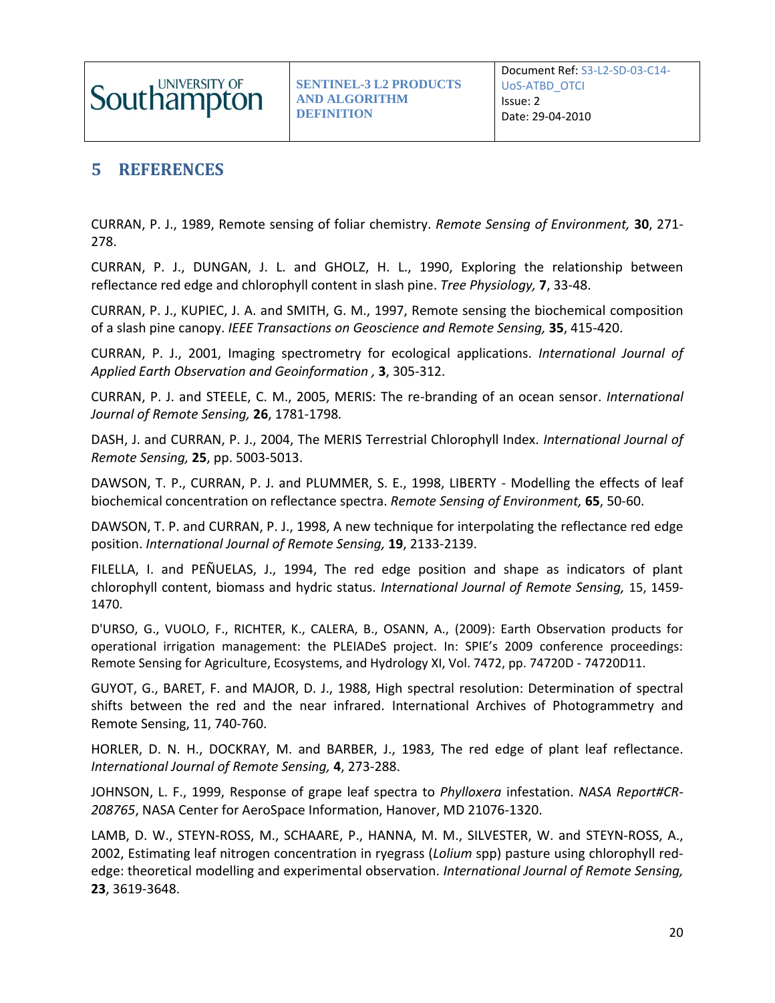

# <span id="page-19-0"></span>**5 REFERENCES**

CURRAN, P. J., 1989, Remote sensing of foliar chemistry. *Remote Sensing of Environment,* **30**, 271- 278.

CURRAN, P. J., DUNGAN, J. L. and GHOLZ, H. L., 1990, Exploring the relationship between reflectance red edge and chlorophyll content in slash pine. *Tree Physiology,* **7**, 33-48.

CURRAN, P. J., KUPIEC, J. A. and SMITH, G. M., 1997, Remote sensing the biochemical composition of a slash pine canopy. *IEEE Transactions on Geoscience and Remote Sensing,* **35**, 415-420.

CURRAN, P. J., 2001, Imaging spectrometry for ecological applications. *International Journal of Applied Earth Observation and Geoinformation ,* **3**, 305-312.

CURRAN, P. J. and STEELE, C. M., 2005, MERIS: The re-branding of an ocean sensor. *International Journal of Remote Sensing,* **26**, 1781-1798*.*

DASH, J. and CURRAN, P. J., 2004, The MERIS Terrestrial Chlorophyll Index. *International Journal of Remote Sensing,* **25**, pp. 5003-5013.

DAWSON, T. P., CURRAN, P. J. and PLUMMER, S. E., 1998, LIBERTY - Modelling the effects of leaf biochemical concentration on reflectance spectra. *Remote Sensing of Environment,* **65**, 50-60.

DAWSON, T. P. and CURRAN, P. J., 1998, A new technique for interpolating the reflectance red edge position. *International Journal of Remote Sensing,* **19**, 2133-2139.

FILELLA, I. and PEÑUELAS, J., 1994, The red edge position and shape as indicators of plant chlorophyll content, biomass and hydric status. *International Journal of Remote Sensing,* 15, 1459- 1470.

D'URSO, G., VUOLO, F., RICHTER, K., CALERA, B., OSANN, A., (2009): Earth Observation products for operational irrigation management: the PLEIADeS project. In: SPIE's 2009 conference proceedings: Remote Sensing for Agriculture, Ecosystems, and Hydrology XI, Vol. 7472, pp. 74720D - 74720D11.

GUYOT, G., BARET, F. and MAJOR, D. J., 1988, High spectral resolution: Determination of spectral shifts between the red and the near infrared. International Archives of Photogrammetry and Remote Sensing, 11, 740-760.

HORLER, D. N. H., DOCKRAY, M. and BARBER, J., 1983, The red edge of plant leaf reflectance. *International Journal of Remote Sensing,* **4**, 273-288.

JOHNSON, L. F., 1999, Response of grape leaf spectra to *Phylloxera* infestation. *NASA Report#CR-208765*, NASA Center for AeroSpace Information, Hanover, MD 21076-1320.

LAMB, D. W., STEYN-ROSS, M., SCHAARE, P., HANNA, M. M., SILVESTER, W. and STEYN-ROSS, A., 2002, Estimating leaf nitrogen concentration in ryegrass (*Lolium* spp) pasture using chlorophyll rededge: theoretical modelling and experimental observation. *International Journal of Remote Sensing,*  **23**, 3619-3648.